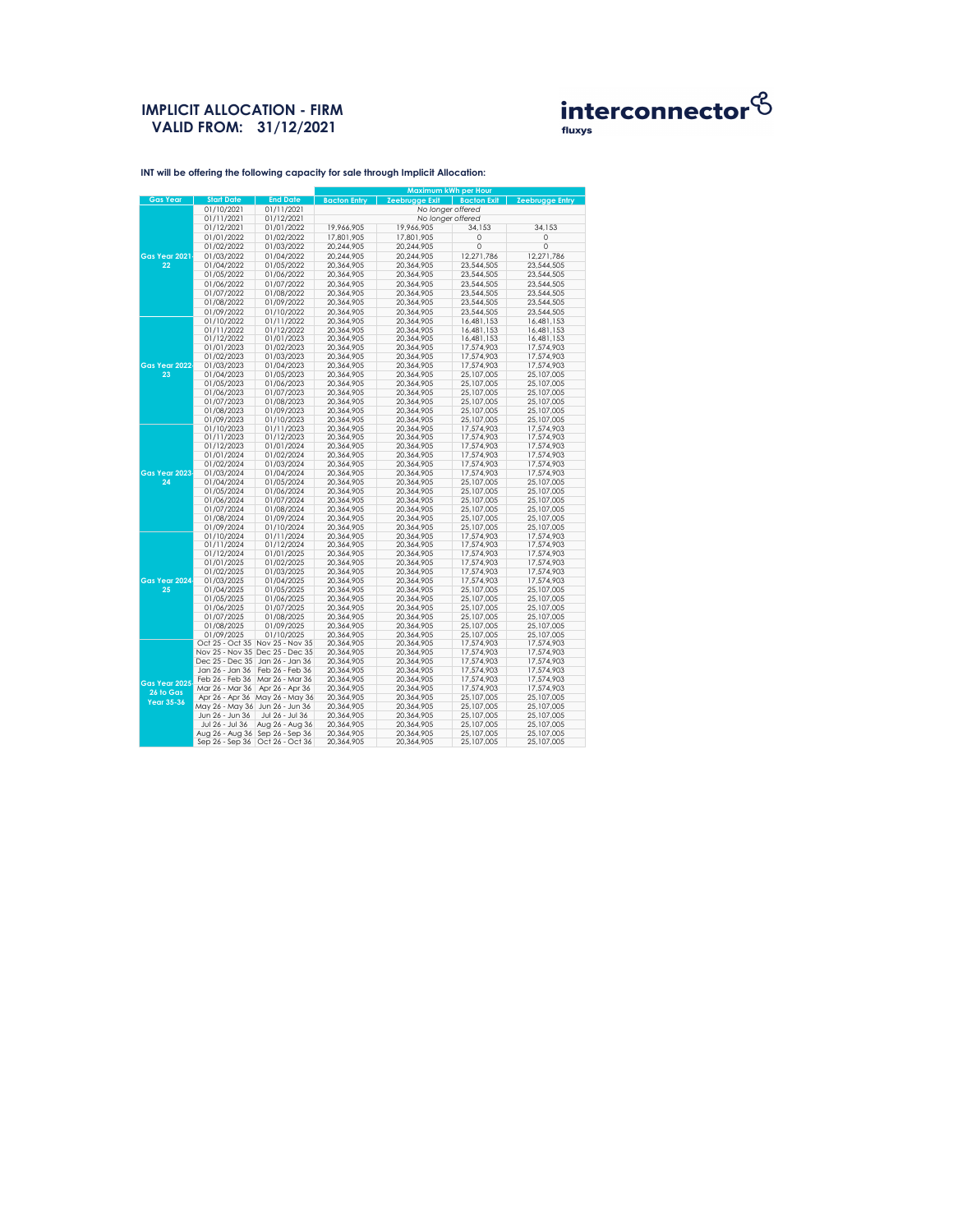## **IMPLICIT ALLOCATION - FIRM VALID FROM: 31/12/2021**



|                      |                          |                                 | <b>Maximum kWh per Hour</b> |                       |                    |                        |  |  |  |
|----------------------|--------------------------|---------------------------------|-----------------------------|-----------------------|--------------------|------------------------|--|--|--|
| <b>Gas Year</b>      | <b>Start Date</b>        | <b>End Date</b>                 | <b>Bacton Entry</b>         | <b>Zeebrugge Exit</b> | <b>Bacton Exit</b> | <b>Zeebrugge Entry</b> |  |  |  |
|                      | 01/10/2021               | 01/11/2021                      |                             | No longer offered     |                    |                        |  |  |  |
|                      | 01/11/2021               | 01/12/2021                      | No longer offered           |                       |                    |                        |  |  |  |
|                      | 01/12/2021               | 01/01/2022                      | 19,966,905                  | 19,966,905            | 34,153             | 34,153                 |  |  |  |
|                      | 01/01/2022               | 01/02/2022                      | 17,801,905                  | 17,801,905            | $\mathbf 0$        | $\mathbf 0$            |  |  |  |
|                      | 01/02/2022               | 01/03/2022                      | 20,244,905                  | 20,244,905            | $\overline{0}$     | $\mathbf 0$            |  |  |  |
| Gas Year 2021        | 01/03/2022               | 01/04/2022                      | 20,244,905                  | 20,244,905            | 12,271,786         | 12,271,786             |  |  |  |
| 22                   |                          |                                 |                             |                       |                    |                        |  |  |  |
|                      | 01/04/2022               | 01/05/2022                      | 20,364,905                  | 20,364,905            | 23,544,505         | 23,544,505             |  |  |  |
|                      | 01/05/2022               | 01/06/2022                      | 20,364,905                  | 20,364,905            | 23,544,505         | 23,544,505             |  |  |  |
|                      | 01/06/2022               | 01/07/2022                      | 20,364,905                  | 20,364,905            | 23,544,505         | 23,544,505             |  |  |  |
|                      | 01/07/2022               | 01/08/2022                      | 20,364,905                  | 20,364,905            | 23,544,505         | 23,544,505             |  |  |  |
|                      | 01/08/2022               | 01/09/2022                      | 20,364,905                  | 20,364,905            | 23,544,505         | 23,544,505             |  |  |  |
|                      | 01/09/2022               | 01/10/2022                      | 20,364,905                  | 20,364,905            | 23,544,505         | 23,544,505             |  |  |  |
|                      | 01/10/2022               | 01/11/2022                      | 20,364,905                  | 20,364,905            | 16,481,153         | 16,481,153             |  |  |  |
|                      | 01/11/2022               | 01/12/2022                      | 20,364,905                  | 20,364,905            | 16,481,153         | 16,481,153             |  |  |  |
|                      | 01/12/2022               | 01/01/2023                      | 20,364,905                  | 20,364,905            | 16,481,153         | 16,481,153             |  |  |  |
|                      | 01/01/2023               | 01/02/2023                      | 20,364,905                  | 20,364,905            | 17,574,903         | 17,574,903             |  |  |  |
|                      | 01/02/2023               | 01/03/2023                      | 20,364,905                  | 20,364,905            | 17,574,903         | 17,574,903             |  |  |  |
| <b>Gas Year 2022</b> | 01/03/2023               | 01/04/2023                      | 20,364,905                  | 20,364,905            | 17,574,903         | 17,574,903             |  |  |  |
| 23                   | 01/04/2023               | 01/05/2023                      | 20,364,905                  | 20,364,905            | 25,107,005         | 25,107,005             |  |  |  |
|                      | 01/05/2023               | 01/06/2023                      | 20,364,905                  | 20,364,905            | 25,107,005         | 25,107,005             |  |  |  |
|                      | 01/06/2023               | 01/07/2023                      | 20,364,905                  | 20,364,905            | 25,107,005         | 25,107,005             |  |  |  |
|                      | 01/07/2023               | 01/08/2023                      | 20,364,905                  | 20,364,905            | 25,107,005         | 25,107,005             |  |  |  |
|                      | 01/08/2023               | 01/09/2023                      | 20,364,905                  | 20,364,905            | 25,107,005         | 25,107,005             |  |  |  |
|                      | 01/09/2023               | 01/10/2023                      | 20,364,905                  | 20,364,905            | 25,107,005         | 25,107,005             |  |  |  |
|                      | 01/10/2023               | 01/11/2023                      | 20,364,905                  | 20,364,905            | 17,574,903         | 17,574,903             |  |  |  |
|                      | 01/11/2023               | 01/12/2023                      | 20,364,905                  | 20,364,905            | 17,574,903         | 17,574,903             |  |  |  |
|                      | 01/12/2023               | 01/01/2024                      | 20,364,905                  | 20,364,905            | 17,574,903         | 17,574,903             |  |  |  |
|                      |                          |                                 |                             |                       |                    |                        |  |  |  |
|                      | 01/01/2024<br>01/02/2024 | 01/02/2024<br>01/03/2024        | 20,364,905                  | 20,364,905            | 17,574,903         | 17,574,903             |  |  |  |
|                      |                          |                                 | 20,364,905                  | 20,364,905            | 17,574,903         | 17,574,903             |  |  |  |
| <b>Gas Year 2023</b> | 01/03/2024               | 01/04/2024                      | 20,364,905                  | 20,364,905            | 17,574,903         | 17,574,903             |  |  |  |
| 24                   | 01/04/2024               | 01/05/2024                      | 20,364,905                  | 20,364,905            | 25,107,005         | 25,107,005             |  |  |  |
|                      | 01/05/2024               | 01/06/2024                      | 20,364,905                  | 20,364,905            | 25,107,005         | 25,107,005             |  |  |  |
|                      | 01/06/2024               | 01/07/2024                      | 20,364,905                  | 20,364,905            | 25,107,005         | 25,107,005             |  |  |  |
|                      | 01/07/2024               | 01/08/2024                      | 20,364,905                  | 20,364,905            | 25,107,005         | 25,107,005             |  |  |  |
|                      | 01/08/2024               | 01/09/2024                      | 20,364,905                  | 20,364,905            | 25,107,005         | 25,107,005             |  |  |  |
|                      | 01/09/2024               | 01/10/2024                      | 20,364,905                  | 20,364,905            | 25,107,005         | 25,107,005             |  |  |  |
|                      | 01/10/2024               | 01/11/2024                      | 20,364,905                  | 20,364,905            | 17,574,903         | 17,574,903             |  |  |  |
|                      | 01/11/2024               | 01/12/2024                      | 20,364,905                  | 20,364,905            | 17,574,903         | 17,574,903             |  |  |  |
|                      | 01/12/2024               | 01/01/2025                      | 20,364,905                  | 20,364,905            | 17,574,903         | 17,574,903             |  |  |  |
|                      | 01/01/2025               | 01/02/2025                      | 20,364,905                  | 20,364,905            | 17,574,903         | 17,574,903             |  |  |  |
|                      | 01/02/2025               | 01/03/2025                      | 20,364,905                  | 20,364,905            | 17,574,903         | 17,574,903             |  |  |  |
| Gas Year 2024        | 01/03/2025               | 01/04/2025                      | 20,364,905                  | 20,364,905            | 17,574,903         | 17,574,903             |  |  |  |
| 25                   | 01/04/2025               | 01/05/2025                      | 20,364,905                  | 20,364,905            | 25,107,005         | 25,107,005             |  |  |  |
|                      | 01/05/2025               | 01/06/2025                      | 20,364,905                  | 20,364,905            | 25,107,005         | 25,107,005             |  |  |  |
|                      | 01/06/2025               | 01/07/2025                      | 20,364,905                  | 20,364,905            | 25,107,005         | 25,107,005             |  |  |  |
|                      | 01/07/2025               | 01/08/2025                      | 20,364,905                  | 20,364,905            | 25,107,005         | 25,107,005             |  |  |  |
|                      | 01/08/2025               | 01/09/2025                      | 20,364,905                  | 20,364,905            | 25,107,005         | 25,107,005             |  |  |  |
|                      | 01/09/2025               | 01/10/2025                      | 20,364,905                  | 20,364,905            | 25,107,005         | 25,107,005             |  |  |  |
|                      | Oct 25 - Oct 35          | Nov 25 - Nov 35                 | 20,364,905                  | 20,364,905            | 17,574,903         | 17,574,903             |  |  |  |
|                      |                          | Nov 25 - Nov 35 Dec 25 - Dec 35 | 20,364,905                  | 20,364,905            | 17,574,903         | 17,574,903             |  |  |  |
|                      | Dec 25 - Dec 35          | Jan 26 - Jan 36                 | 20,364,905                  | 20,364,905            | 17,574,903         | 17,574,903             |  |  |  |
|                      | Jan 26 - Jan 36          | Feb 26 - Feb 36                 | 20,364,905                  | 20,364,905            | 17,574,903         | 17,574,903             |  |  |  |
|                      | Feb 26 - Feb 36          | Mar 26 - Mar 36                 | 20,364,905                  | 20,364,905            | 17,574,903         | 17,574,903             |  |  |  |
| <b>Gas Year 2025</b> | Mar 26 - Mar 36          | Apr 26 - Apr 36                 | 20,364,905                  | 20,364,905            | 17,574,903         | 17,574,903             |  |  |  |
| 26 to Gas            | Apr 26 - Apr 36          | May 26 - May 36                 | 20,364,905                  | 20,364,905            | 25,107,005         | 25,107,005             |  |  |  |
| <b>Year 35-36</b>    | May 26 - May 36          | Jun 26 - Jun 36                 | 20,364,905                  | 20,364,905            | 25,107,005         | 25,107,005             |  |  |  |
|                      | Jun 26 - Jun 36          | Jul 26 - Jul 36                 | 20,364,905                  | 20,364,905            | 25,107,005         | 25,107,005             |  |  |  |
|                      | Jul 26 - Jul 36          | Aug 26 - Aug 36                 | 20,364,905                  | 20,364,905            | 25,107,005         | 25,107,005             |  |  |  |
|                      | Aug 26 - Aug 36          | Sep 26 - Sep 36                 | 20,364,905                  | 20,364,905            | 25,107,005         | 25,107,005             |  |  |  |
|                      | Sep 26 - Sep 36          | Oct 26 - Oct 36                 | 20,364,905                  | 20,364,905            | 25,107,005         | 25,107,005             |  |  |  |
|                      |                          |                                 |                             |                       |                    |                        |  |  |  |

**INT will be offering the following capacity for sale through Implicit Allocation:**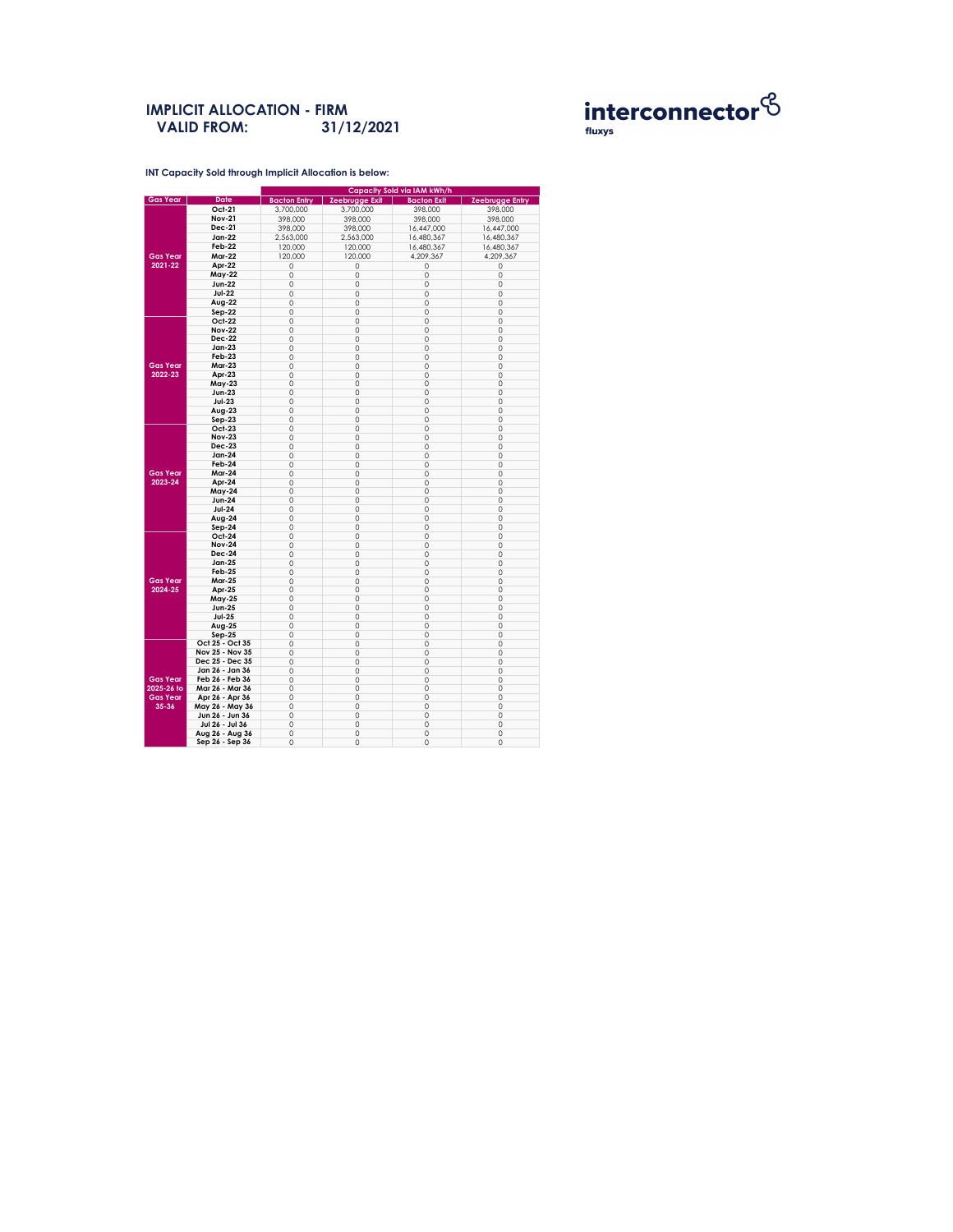**INT Capacity Sold through Implicit Allocation is below:** 

#### **IMPLICIT ALLOCATION - FIRM VALID FROM: 31/12/2021**



|                 |                 | <b>Capacity Sold via IAM kWh/h</b> |                       |                    |                        |  |  |  |
|-----------------|-----------------|------------------------------------|-----------------------|--------------------|------------------------|--|--|--|
| <b>Gas Year</b> | <b>Date</b>     | <b>Bacton Entry</b>                | <b>Zeebrugge Exit</b> | <b>Bacton Exit</b> | <b>Zeebrugge Entry</b> |  |  |  |
|                 | <b>Oct-21</b>   | 3,700,000                          | 3,700,000             | 398,000            | 398,000                |  |  |  |
|                 | <b>Nov-21</b>   | 398,000                            | 398,000               | 398,000            | 398,000                |  |  |  |
|                 | <b>Dec-21</b>   | 398,000                            | 398,000               | 16,447,000         | 16,447,000             |  |  |  |
|                 | <b>Jan-22</b>   | 2,563,000                          | 2,563,000             | 16,480,367         | 16,480,367             |  |  |  |
|                 | <b>Feb-22</b>   |                                    |                       |                    |                        |  |  |  |
|                 |                 | 120,000                            | 120,000               | 16,480,367         | 16,480,367             |  |  |  |
| <b>Gas Year</b> | <b>Mar-22</b>   | 120,000                            | 120,000               | 4,209,367          | 4,209,367              |  |  |  |
| 2021-22         | Apr-22          | 0                                  | 0                     | 0                  | 0                      |  |  |  |
|                 | <b>May-22</b>   | 0                                  | 0                     | O                  | 0                      |  |  |  |
|                 | <b>Jun-22</b>   | 0                                  | 0                     | $\Omega$           | $\mathbf 0$            |  |  |  |
|                 | <b>Jul-22</b>   | 0                                  | $\mathbf{O}$          | $\overline{O}$     | $\mathbf 0$            |  |  |  |
|                 | Aug-22          | 0                                  | 0                     | 0                  | $\mathbf 0$            |  |  |  |
|                 |                 |                                    |                       |                    |                        |  |  |  |
|                 | $Sep-22$        | 0                                  | $\mathbf{O}$          | 0                  | $\mathbf{O}$           |  |  |  |
|                 | <b>Oct-22</b>   | 0                                  | $\overline{O}$        | $\Omega$           | $\mathbf{O}$           |  |  |  |
|                 | <b>Nov-22</b>   | $\mathsf{O}\xspace$                | $\mathbf 0$           | $\overline{O}$     | $\mathbf 0$            |  |  |  |
|                 | <b>Dec-22</b>   | 0                                  | 0                     | 0                  | $\mathbf 0$            |  |  |  |
|                 | <b>Jan-23</b>   | 0                                  | 0                     | 0                  | $\mathsf{O}\xspace$    |  |  |  |
|                 | <b>Feb-23</b>   | 0                                  | 0                     | 0                  | $\mathsf{O}\xspace$    |  |  |  |
| <b>Gas Year</b> | <b>Mar-23</b>   | 0                                  | 0                     | $\overline{O}$     | $\mathbf 0$            |  |  |  |
| 2022-23         | Apr-23          | 0                                  | 0                     | 0                  | $\mathbf{O}$           |  |  |  |
|                 | <b>May-23</b>   | 0                                  | 0                     | $\overline{0}$     | $\mathsf{O}\xspace$    |  |  |  |
|                 | <b>Jun-23</b>   | 0                                  | $\mathbf{O}$          | 0                  | $\mathbf 0$            |  |  |  |
|                 |                 |                                    |                       |                    |                        |  |  |  |
|                 | $Jul-23$        | $\mathsf O$                        | 0                     | $\overline{0}$     | $\mathbf 0$            |  |  |  |
|                 | Aug-23          | $\mathsf{O}\xspace$                | $\mathsf O$           | 0                  | $\mathbf 0$            |  |  |  |
|                 | $Sep-23$        | 0                                  | 0                     | $\Omega$           | $\overline{0}$         |  |  |  |
|                 | <b>Oct-23</b>   | 0                                  | $\mathbf{O}$          | 0                  | $\mathsf{O}\xspace$    |  |  |  |
|                 | <b>Nov-23</b>   | 0                                  | 0                     | $\Omega$           | $\mathbf 0$            |  |  |  |
|                 | <b>Dec-23</b>   | 0                                  | $\mathsf O$           | $\overline{O}$     | $\mathbf 0$            |  |  |  |
|                 | <b>Jan-24</b>   | 0                                  | 0                     | 0                  | $\mathbf 0$            |  |  |  |
|                 | Feb-24          | 0                                  | 0                     | $\Omega$           | $\mathsf{O}\xspace$    |  |  |  |
| <b>Gas Year</b> | <b>Mar-24</b>   |                                    |                       |                    |                        |  |  |  |
|                 |                 | 0                                  | 0                     | ∩                  | $\mathbf 0$            |  |  |  |
| 2023-24         | Apr-24          | 0                                  | 0                     | 0                  | $\overline{O}$         |  |  |  |
|                 | <b>May-24</b>   | 0                                  | 0                     | $\overline{0}$     | 0                      |  |  |  |
|                 | <b>Jun-24</b>   | 0                                  | 0                     | $\overline{0}$     | $\overline{0}$         |  |  |  |
|                 | <b>Jul-24</b>   | 0                                  | 0                     | 0                  | $\mathbf 0$            |  |  |  |
|                 | Aug-24          | 0                                  | 0                     | 0                  | $\mathbf 0$            |  |  |  |
|                 | Sep-24          | 0                                  | $\mathsf O$           | 0                  | $\mathbf 0$            |  |  |  |
|                 | <b>Oct-24</b>   | 0                                  | 0                     | 0                  | $\mathbf 0$            |  |  |  |
|                 | <b>Nov-24</b>   | 0                                  | 0                     | 0                  | $\mathbf{O}$           |  |  |  |
|                 | <b>Dec-24</b>   | 0                                  | 0                     | $\overline{0}$     | $\mathbf{O}$           |  |  |  |
|                 |                 |                                    |                       |                    |                        |  |  |  |
|                 | <b>Jan-25</b>   | 0                                  | 0                     | $\mathbf 0$        | $\mathbf 0$            |  |  |  |
|                 | <b>Feb-25</b>   | 0                                  | 0                     | $\overline{0}$     | $\mathbf 0$            |  |  |  |
| <b>Gas Year</b> | <b>Mar-25</b>   | 0                                  | 0                     | 0                  | $\mathbf{O}$           |  |  |  |
| 2024-25         | Apr-25          | 0                                  | 0                     | $\Omega$           | $\mathbf{O}$           |  |  |  |
|                 | <b>May-25</b>   | 0                                  | 0                     | 0                  | $\mathbf 0$            |  |  |  |
|                 | <b>Jun-25</b>   | 0                                  | 0                     | 0                  | $\mathbf 0$            |  |  |  |
|                 | <b>Jul-25</b>   | 0                                  | 0                     | 0                  | $\mathbf 0$            |  |  |  |
|                 | <b>Aug-25</b>   | 0                                  | 0                     | 0                  | $\mathbf 0$            |  |  |  |
|                 | <b>Sep-25</b>   | 0                                  | 0                     | $\overline{O}$     | $\mathbf 0$            |  |  |  |
|                 | Oct 25 - Oct 35 | 0                                  | 0                     | 0                  | $\mathbf 0$            |  |  |  |
|                 |                 |                                    |                       |                    |                        |  |  |  |
|                 | Nov 25 - Nov 35 | 0                                  | 0                     | $\overline{0}$     | $\mathbf 0$            |  |  |  |
|                 | Dec 25 - Dec 35 | 0                                  | 0                     | 0                  | $\mathbf 0$            |  |  |  |
|                 | Jan 26 - Jan 36 | 0                                  | 0                     | $\overline{0}$     | $\mathbf 0$            |  |  |  |
| <b>Gas Year</b> | Feb 26 - Feb 36 | 0                                  | 0                     | 0                  | $\mathbf 0$            |  |  |  |
| 2025-26 to      | Mar 26 - Mar 36 | 0                                  | 0                     | 0                  | $\mathbf 0$            |  |  |  |
| <b>Gas Year</b> | Apr 26 - Apr 36 | 0                                  | 0                     | 0                  | $\mathbf 0$            |  |  |  |
| $35 - 36$       | May 26 - May 36 | 0                                  | 0                     | $\overline{0}$     | $\mathbf{O}$           |  |  |  |
|                 | Jun 26 - Jun 36 | 0                                  | 0                     | $\mathbf 0$        | $\mathbf 0$            |  |  |  |
|                 |                 |                                    |                       |                    |                        |  |  |  |
|                 | Jul 26 - Jul 36 | 0                                  | 0                     | 0                  | $\mathbf{O}$           |  |  |  |
|                 | Aug 26 - Aug 36 | 0                                  | 0                     | 0                  | $\mathsf{O}\xspace$    |  |  |  |
|                 | Sep 26 - Sep 36 | 0                                  | 0                     | 0                  | $\mathsf{O}\xspace$    |  |  |  |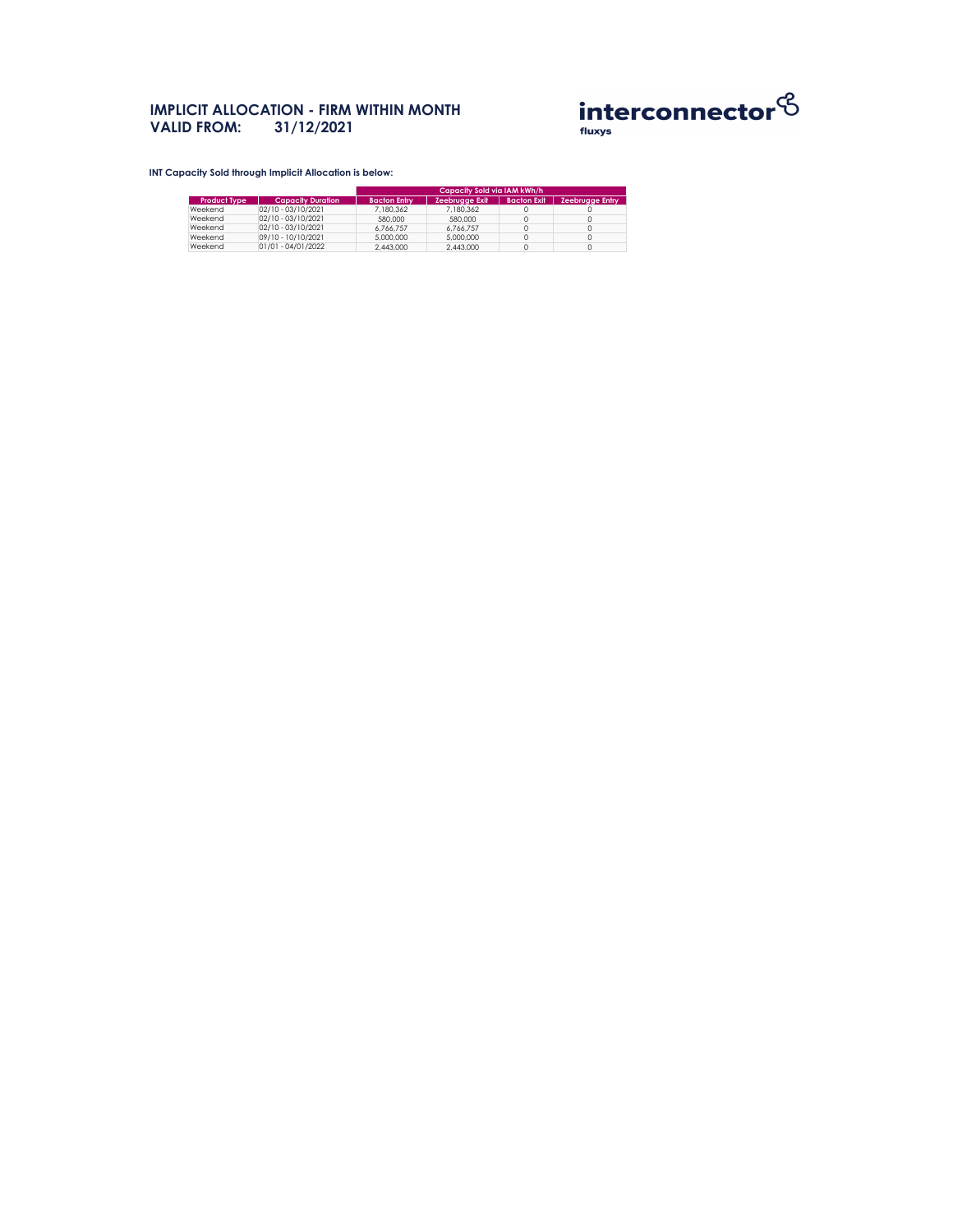# **IMPLICIT ALLOCATION - FIRM WITHIN MONTH VALID FROM: 31/12/2021**



**INT Capacity Sold through Implicit Allocation is below:** 

|                     |                          | Capacity Sold via IAM kWh/h |                       |                    |                        |  |  |
|---------------------|--------------------------|-----------------------------|-----------------------|--------------------|------------------------|--|--|
| <b>Product Type</b> | <b>Capacity Duration</b> | <b>Bacton Entry</b>         | <b>Zeebrugge Exit</b> | <b>Bacton Exit</b> | <b>Zeebrugge Entry</b> |  |  |
| Weekend             | $02/10 - 03/10/2021$     | 7,180,362                   | 7,180,362             |                    |                        |  |  |
| Weekend             | $02/10 - 03/10/2021$     | 580,000                     | 580,000               |                    |                        |  |  |
| Weekend             | $02/10 - 03/10/2021$     | 6,766,757                   | 6,766,757             |                    |                        |  |  |
| Weekend             | 09/10 - 10/10/2021       | 5,000,000                   | 5,000,000             |                    |                        |  |  |
| Weekend             | 01/01 - 04/01/2022       | 2,443,000                   | 2,443,000             |                    |                        |  |  |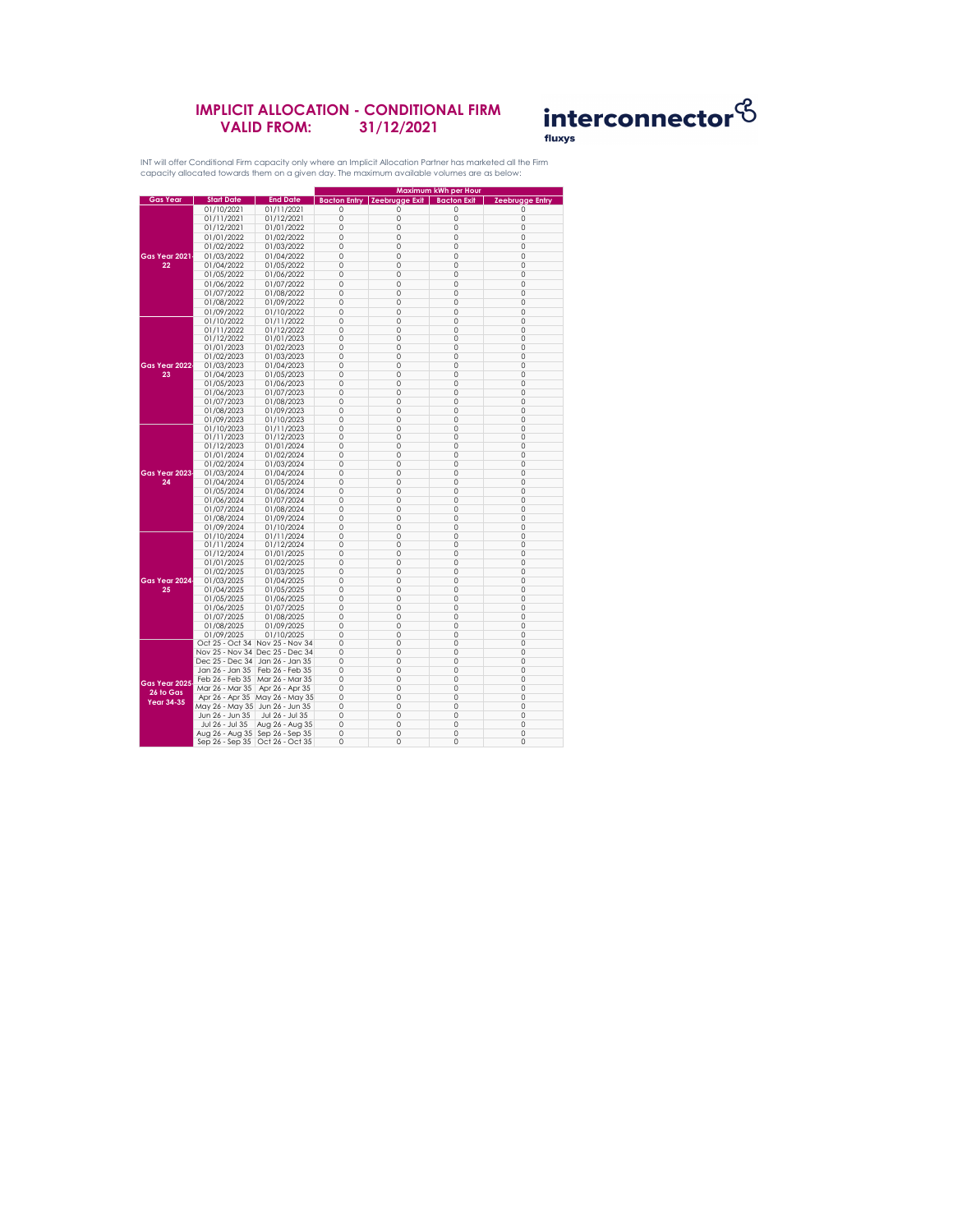|                                                 |                                   |                                   | <b>Maximum kWh per Hour</b> |                     |                    |                        |  |
|-------------------------------------------------|-----------------------------------|-----------------------------------|-----------------------------|---------------------|--------------------|------------------------|--|
| <b>Gas Year</b>                                 | <b>Start Date</b>                 | <b>End Date</b>                   | <b>Bacton Entry</b>         | Zeebrugge Exit      | <b>Bacton Exit</b> | <b>Zeebrugge Entry</b> |  |
|                                                 | 01/10/2021                        | 01/11/2021                        | 0                           | 0                   | 0                  | $\left( \right)$       |  |
|                                                 | 01/11/2021                        | 01/12/2021                        | $\overline{O}$              | $\overline{O}$      | 0                  | 0                      |  |
|                                                 | 01/12/2021                        | 01/01/2022                        | $\overline{0}$              | $\overline{0}$      | 0                  | 0                      |  |
|                                                 | 01/01/2022                        | 01/02/2022                        | 0                           | 0                   | 0                  | 0                      |  |
|                                                 | 01/02/2022                        | 01/03/2022                        | $\overline{O}$              | $\mathbf 0$         | $\overline{0}$     | 0                      |  |
| <b>Gas Year 2021</b>                            | 01/03/2022                        | 01/04/2022                        | $\overline{0}$              | $\overline{0}$      | $\overline{0}$     | 0                      |  |
| 22                                              | 01/04/2022                        | 01/05/2022                        | 0                           | 0                   | $\overline{0}$     | 0                      |  |
|                                                 | 01/05/2022                        | 01/06/2022                        | $\overline{O}$              | 0                   | 0                  | 0                      |  |
|                                                 |                                   |                                   |                             |                     |                    |                        |  |
|                                                 | 01/06/2022                        | 01/07/2022                        | $\overline{O}$              | 0                   | 0                  | 0                      |  |
|                                                 | 01/07/2022                        | 01/08/2022                        | $\mathbf 0$                 | 0                   | $\overline{0}$     | 0                      |  |
|                                                 | 01/08/2022                        | 01/09/2022                        | $\overline{O}$              | 0                   | 0                  | 0                      |  |
|                                                 | 01/09/2022                        | 01/10/2022                        | $\overline{O}$              | 0                   | $\overline{0}$     | 0                      |  |
|                                                 | 01/10/2022                        | 01/11/2022                        | $\overline{0}$              | $\overline{0}$      | 0                  | 0                      |  |
|                                                 | 01/11/2022                        | 01/12/2022                        | $\overline{0}$              | 0                   | 0                  | 0                      |  |
|                                                 | 01/12/2022                        | 01/01/2023                        | $\overline{O}$              | $\overline{O}$      | 0                  | 0                      |  |
|                                                 | 01/01/2023                        | 01/02/2023                        | $\overline{O}$              | 0                   | 0                  | 0                      |  |
|                                                 | 01/02/2023                        | 01/03/2023                        | $\overline{O}$              | 0                   | 0                  | 0                      |  |
| Gas Year 2022                                   | 01/03/2023                        | 01/04/2023                        | $\overline{O}$              | 0                   | $\overline{0}$     | 0                      |  |
| 23                                              | 01/04/2023                        | 01/05/2023                        | $\overline{0}$              | $\overline{0}$      | 0                  | 0                      |  |
|                                                 | 01/05/2023                        | 01/06/2023                        | $\overline{O}$              | $\mathbf 0$         | 0                  | 0                      |  |
|                                                 | 01/06/2023                        | 01/07/2023                        | $\overline{0}$              | $\overline{0}$      | $\overline{0}$     | 0                      |  |
|                                                 | 01/07/2023                        | 01/08/2023                        | $\overline{0}$              | $\overline{0}$      | $\overline{0}$     | 0                      |  |
|                                                 | 01/08/2023                        | 01/09/2023                        | $\overline{0}$              | $\overline{O}$      | $\overline{0}$     | 0                      |  |
|                                                 | 01/09/2023                        | 01/10/2023                        | $\overline{O}$              | $\overline{O}$      | 0                  | 0                      |  |
|                                                 | 01/10/2023                        | 01/11/2023                        | $\overline{O}$              | $\mathbf 0$         | 0                  | 0                      |  |
|                                                 | 01/11/2023                        | 01/12/2023                        | $\overline{O}$              | 0                   | 0                  | 0                      |  |
|                                                 | 01/12/2023                        | 01/01/2024                        | $\overline{0}$              | $\mathbf 0$         | 0                  | 0                      |  |
|                                                 | 01/01/2024                        | 01/02/2024                        | $\overline{O}$              | $\overline{O}$      | 0                  | 0                      |  |
|                                                 | 01/02/2024                        | 01/03/2024                        | $\overline{O}$              | 0                   | 0                  | 0                      |  |
| Gas Year 2023                                   | 01/03/2024                        | 01/04/2024                        | 0                           | 0                   | 0                  | 0                      |  |
| 24                                              | 01/04/2024                        | 01/05/2024                        | $\overline{0}$              | $\overline{0}$      | 0                  | 0                      |  |
|                                                 | 01/05/2024                        | 01/06/2024                        | 0                           | 0                   | 0                  | 0                      |  |
|                                                 | 01/06/2024                        | 01/07/2024                        | $\overline{0}$              | $\mathbf 0$         | 0                  | 0                      |  |
|                                                 | 01/07/2024                        | 01/08/2024                        | 0                           | 0                   | 0                  | 0                      |  |
|                                                 | 01/08/2024                        | 01/09/2024                        | 0                           | 0                   | 0                  | 0                      |  |
|                                                 | 01/09/2024                        | 01/10/2024                        | $\overline{0}$              | 0                   | 0                  | 0                      |  |
|                                                 | 01/10/2024                        | 01/11/2024                        | $\overline{O}$              | $\overline{O}$      | 0                  | 0                      |  |
|                                                 | 01/11/2024                        | 01/12/2024                        | $\overline{O}$              | 0                   | 0                  | 0                      |  |
|                                                 | 01/12/2024                        | 01/01/2025                        | $\mathbf 0$                 | 0                   | 0                  | 0                      |  |
| Gas Year 2024                                   | 01/01/2025                        | 01/02/2025                        | $\overline{0}$              | 0                   | 0                  | 0                      |  |
|                                                 | 01/02/2025                        | 01/03/2025                        | $\overline{O}$              | 0                   | 0                  | 0                      |  |
|                                                 |                                   | 01/04/2025                        | $\overline{O}$              | 0                   | $\overline{0}$     | 0                      |  |
|                                                 | 01/03/2025                        |                                   |                             |                     |                    |                        |  |
| 25                                              | 01/04/2025                        | 01/05/2025                        | 0                           | 0<br>$\overline{0}$ | 0                  | 0                      |  |
|                                                 | 01/05/2025                        | 01/06/2025                        | 0                           |                     | 0                  | 0                      |  |
|                                                 | 01/06/2025                        | 01/07/2025                        | $\overline{O}$              | 0                   | 0                  | 0                      |  |
|                                                 | 01/07/2025                        | 01/08/2025                        | $\mathbf 0$                 | 0                   | 0                  | 0                      |  |
|                                                 | 01/08/2025                        | 01/09/2025                        | 0                           | 0                   | 0                  | 0                      |  |
|                                                 | 01/09/2025                        | 01/10/2025                        | 0                           | 0                   | 0                  | 0                      |  |
|                                                 |                                   | Oct 25 - Oct 34 Nov 25 - Nov 34   | $\overline{0}$              | 0                   | 0                  | 0                      |  |
|                                                 |                                   | Nov 25 - Nov 34 Dec 25 - Dec 34   | $\overline{O}$              | $\mathbf 0$         | 0                  | 0                      |  |
|                                                 | Dec 25 - Dec 34   Jan 26 - Jan 35 |                                   | 0                           | 0                   | 0                  | 0                      |  |
| Gas Year 2025<br>26 to Gas<br><b>Year 34-35</b> | Jan 26 - Jan 35                   | Feb 26 - Feb 35                   | 0                           | $\overline{0}$      | 0                  | 0                      |  |
|                                                 | Feb 26 - Feb 35                   | Mar 26 - Mar 35                   | $\overline{0}$              | 0                   | 0                  | 0                      |  |
|                                                 | Mar 26 - Mar 35                   | Apr 26 - Apr 35                   | $\overline{O}$              | $\overline{O}$      | 0                  | 0                      |  |
|                                                 | Apr 26 - Apr 35                   | May 26 - May 35                   | $\overline{O}$              | 0                   | 0                  | 0                      |  |
|                                                 | May 26 - May 35 Jun 26 - Jun 35   |                                   | 0                           | 0                   | 0                  | 0                      |  |
|                                                 | Jun 26 - Jun 35                   | Jul 26 - Jul 35                   | $\overline{O}$              | 0                   | 0                  | 0                      |  |
|                                                 | Jul 26 - Jul 35                   | Aug 26 - Aug 35                   | $\overline{O}$              | $\mathbf 0$         | 0                  | 0                      |  |
|                                                 | Aug 26 - Aug 35   Sep 26 - Sep 35 |                                   | 0                           | 0                   | 0                  | 0                      |  |
|                                                 |                                   | Sep 26 - Sep 35   Oct 26 - Oct 35 | $\mathsf{O}\xspace$         | $\mathsf{O}\xspace$ | 0                  | 0                      |  |

## **IMPLICIT ALLOCATION - CONDITIONAL FIRM VALID FROM: 31/12/2021**



INT will offer Conditional Firm capacity only where an Implicit Allocation Partner has marketed all the Firm capacity allocated towards them on a given day. The maximum available volumes are as below: